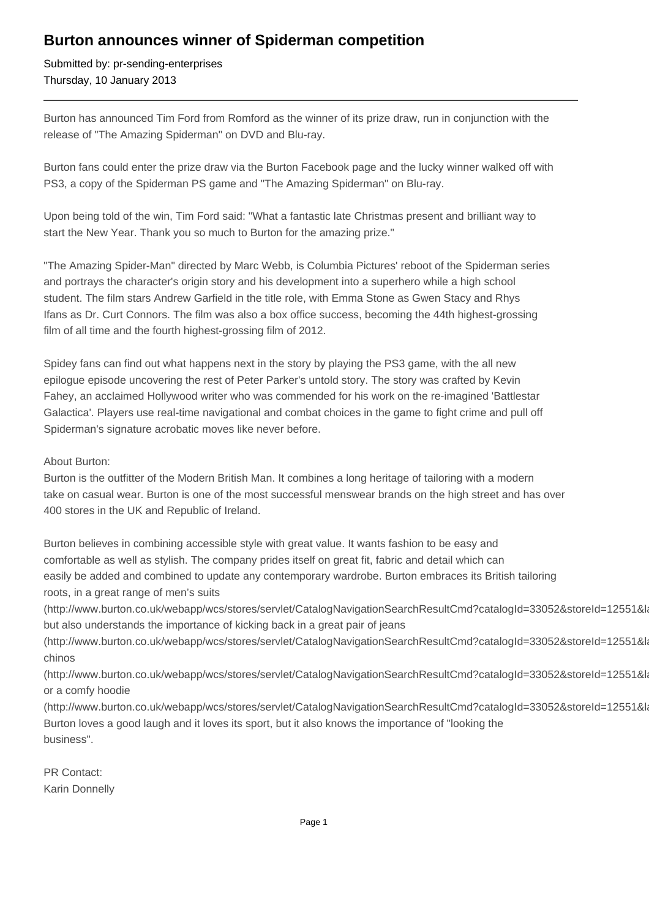## **Burton announces winner of Spiderman competition**

Submitted by: pr-sending-enterprises Thursday, 10 January 2013

Burton has announced Tim Ford from Romford as the winner of its prize draw, run in conjunction with the release of "The Amazing Spiderman" on DVD and Blu-ray.

Burton fans could enter the prize draw via the Burton Facebook page and the lucky winner walked off with PS3, a copy of the Spiderman PS game and "The Amazing Spiderman" on Blu-ray.

Upon being told of the win, Tim Ford said: "What a fantastic late Christmas present and brilliant way to start the New Year. Thank you so much to Burton for the amazing prize."

"The Amazing Spider-Man" directed by Marc Webb, is Columbia Pictures' reboot of the Spiderman series and portrays the character's origin story and his development into a superhero while a high school student. The film stars Andrew Garfield in the title role, with Emma Stone as Gwen Stacy and Rhys Ifans as Dr. Curt Connors. The film was also a box office success, becoming the 44th highest-grossing film of all time and the fourth highest-grossing film of 2012.

Spidey fans can find out what happens next in the story by playing the PS3 game, with the all new epilogue episode uncovering the rest of Peter Parker's untold story. The story was crafted by Kevin Fahey, an acclaimed Hollywood writer who was commended for his work on the re-imagined 'Battlestar Galactica'. Players use real-time navigational and combat choices in the game to fight crime and pull off Spiderman's signature acrobatic moves like never before.

## About Burton:

Burton is the outfitter of the Modern British Man. It combines a long heritage of tailoring with a modern take on casual wear. Burton is one of the most successful menswear brands on the high street and has over 400 stores in the UK and Republic of Ireland.

Burton believes in combining accessible style with great value. It wants fashion to be easy and comfortable as well as stylish. The company prides itself on great fit, fabric and detail which can easily be added and combined to update any contemporary wardrobe. Burton embraces its British tailoring roots, in a great range of men's suits

(http://www.burton.co.uk/webapp/wcs/stores/servlet/CatalogNavigationSearchResultCmd?catalogId=33052&storeId=12551&la but also understands the importance of kicking back in a great pair of jeans

(http://www.burton.co.uk/webapp/wcs/stores/servlet/CatalogNavigationSearchResultCmd?catalogId=33052&storeId=12551&la chinos

(http://www.burton.co.uk/webapp/wcs/stores/servlet/CatalogNavigationSearchResultCmd?catalogId=33052&storeId=12551&la or a comfy hoodie

(http://www.burton.co.uk/webapp/wcs/stores/servlet/CatalogNavigationSearchResultCmd?catalogId=33052&storeId=12551&la Burton loves a good laugh and it loves its sport, but it also knows the importance of "looking the business".

PR Contact: Karin Donnelly